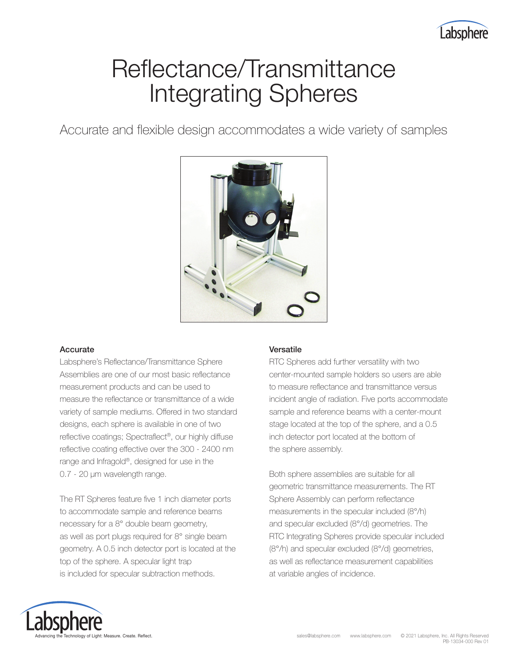

# Reflectance/Transmittance Integrating Spheres

Accurate and flexible design accommodates a wide variety of samples



## Accurate

Labsphere's Reflectance/Transmittance Sphere Assemblies are one of our most basic reflectance measurement products and can be used to measure the reflectance or transmittance of a wide variety of sample mediums. Offered in two standard designs, each sphere is available in one of two reflective coatings; Spectraflect®, our highly diffuse reflective coating effective over the 300 - 2400 nm range and Infragold®, designed for use in the 0.7 - 20 μm wavelength range.

The RT Spheres feature five 1 inch diameter ports to accommodate sample and reference beams necessary for a 8° double beam geometry, as well as port plugs required for 8° single beam geometry. A 0.5 inch detector port is located at the top of the sphere. A specular light trap is included for specular subtraction methods.

## Versatile

RTC Spheres add further versatility with two center-mounted sample holders so users are able to measure reflectance and transmittance versus incident angle of radiation. Five ports accommodate sample and reference beams with a center-mount stage located at the top of the sphere, and a 0.5 inch detector port located at the bottom of the sphere assembly.

Both sphere assemblies are suitable for all geometric transmittance measurements. The RT Sphere Assembly can perform reflectance measurements in the specular included (8°/h) and specular excluded (8°/d) geometries. The RTC Integrating Spheres provide specular included (8°/h) and specular excluded (8°/d) geometries, as well as reflectance measurement capabilities at variable angles of incidence.

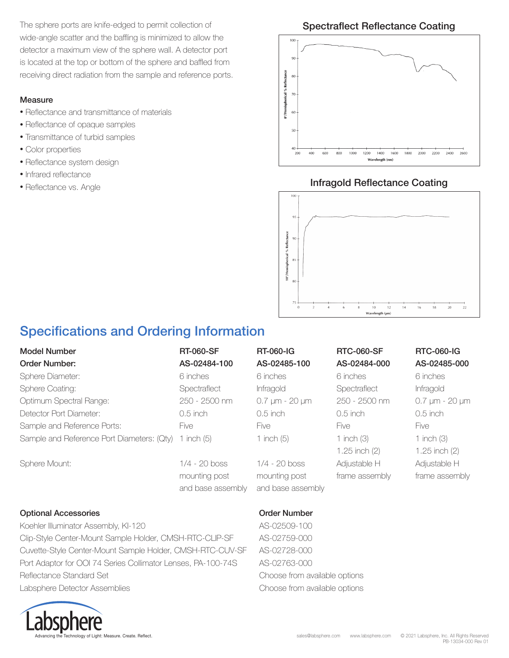The sphere ports are knife-edged to permit collection of wide-angle scatter and the baffling is minimized to allow the detector a maximum view of the sphere wall. A detector port is located at the top or bottom of the sphere and baffled from receiving direct radiation from the sample and reference ports.

## Measure

- Reflectance and transmittance of materials
- Reflectance of opaque samples
- Transmittance of turbid samples
- Color properties
- Reflectance system design
- Infrared reflectance
- Reflectance vs. Angle

## Spectraflect Reflectance Coating



## Infragold Reflectance Coating



## Specifications and Ordering Information

| Model Number<br>Order Number:              | <b>RT-060-SF</b><br>AS-02484-100                      | <b>RT-060-IG</b><br>AS-02485-100                      | <b>RTC-060-SF</b><br>AS-02484-000 | <b>RTC-060-IG</b><br>AS-02485-000 |
|--------------------------------------------|-------------------------------------------------------|-------------------------------------------------------|-----------------------------------|-----------------------------------|
| Sphere Diameter:                           | 6 inches                                              | 6 inches                                              | 6 inches                          | 6 inches                          |
| <b>Sphere Coating:</b>                     | Spectraflect                                          | Infragold                                             | Spectraflect                      | Infragold                         |
| Optimum Spectral Range:                    | 250 - 2500 nm                                         | 0.7 µm - 20 µm                                        | 250 - 2500 nm                     | 0.7 µm - 20 µm                    |
| Detector Port Diameter:                    | $0.5$ inch                                            | $0.5$ inch                                            | $0.5$ inch                        | $0.5$ inch                        |
| Sample and Reference Ports:                | <b>Five</b>                                           | <b>Five</b>                                           | <b>Five</b>                       | <b>Five</b>                       |
| Sample and Reference Port Diameters: (Qty) | 1 inch $(5)$                                          | 1 inch $(5)$                                          | 1 inch $(3)$<br>$1.25$ inch $(2)$ | 1 inch (3)<br>1.25 inch $(2)$     |
| Sphere Mount:                              | $1/4 - 20$ boss<br>mounting post<br>and base assembly | $1/4 - 20$ boss<br>mounting post<br>and base assembly | Adjustable H<br>frame assembly    | Adjustable H<br>frame assembly    |
|                                            |                                                       |                                                       |                                   |                                   |

## Optional Accessories **Order Number** Order Number

Koehler Illuminator Assembly, KI-120 AS-02509-100 Clip-Style Center-Mount Sample Holder, CMSH-RTC-CLIP-SF AS-02759-000 Cuvette-Style Center-Mount Sample Holder, CMSH-RTC-CUV-SF AS-02728-000 Port Adaptor for OOI 74 Series Collimator Lenses, PA-100-74S AS-02763-000 Reflectance Standard Set Choose from available options Labsphere Detector Assemblies Choose from available options

y of Light: Measure. Create. Reflect.

### sales@labsphere.com www.labsphere.com © 2021 Labsphere, Inc. All Rights Reserved PB-13034-000 Rev 01